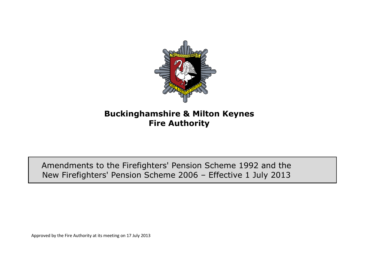

## **Buckinghamshire & Milton Keynes Fire Authority**

Amendments to the Firefighters' Pension Scheme 1992 and the New Firefighters' Pension Scheme 2006 – Effective 1 July 2013

Approved by the Fire Authority at its meeting on 17 July 2013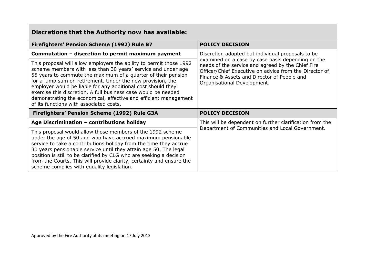| Discretions that the Authority now has available:                                                                                                                                                                                                                                                                                                                                                                                                                                                                    |                                                                                                                                                                                                                                                                                                     |
|----------------------------------------------------------------------------------------------------------------------------------------------------------------------------------------------------------------------------------------------------------------------------------------------------------------------------------------------------------------------------------------------------------------------------------------------------------------------------------------------------------------------|-----------------------------------------------------------------------------------------------------------------------------------------------------------------------------------------------------------------------------------------------------------------------------------------------------|
| Firefighters' Pension Scheme (1992) Rule B7                                                                                                                                                                                                                                                                                                                                                                                                                                                                          | <b>POLICY DECISION</b>                                                                                                                                                                                                                                                                              |
| Commutation - discretion to permit maximum payment                                                                                                                                                                                                                                                                                                                                                                                                                                                                   | Discretion adopted but individual proposals to be<br>examined on a case by case basis depending on the<br>needs of the service and agreed by the Chief Fire<br>Officer/Chief Executive on advice from the Director of<br>Finance & Assets and Director of People and<br>Organisational Development. |
| This proposal will allow employers the ability to permit those 1992<br>scheme members with less than 30 years' service and under age<br>55 years to commute the maximum of a quarter of their pension<br>for a lump sum on retirement. Under the new provision, the<br>employer would be liable for any additional cost should they<br>exercise this discretion. A full business case would be needed<br>demonstrating the economical, effective and efficient management<br>of its functions with associated costs. |                                                                                                                                                                                                                                                                                                     |
| Firefighters' Pension Scheme (1992) Rule G3A                                                                                                                                                                                                                                                                                                                                                                                                                                                                         | <b>POLICY DECISION</b>                                                                                                                                                                                                                                                                              |
| Age Discrimination - contributions holiday                                                                                                                                                                                                                                                                                                                                                                                                                                                                           | This will be dependent on further clarification from the<br>Department of Communities and Local Government.                                                                                                                                                                                         |
| This proposal would allow those members of the 1992 scheme<br>under the age of 50 and who have accrued maximum pensionable<br>service to take a contributions holiday from the time they accrue<br>30 years pensionable service until they attain age 50. The legal<br>position is still to be clarified by CLG who are seeking a decision<br>from the Courts. This will provide clarity, certainty and ensure the<br>scheme complies with equality legislation.                                                     |                                                                                                                                                                                                                                                                                                     |